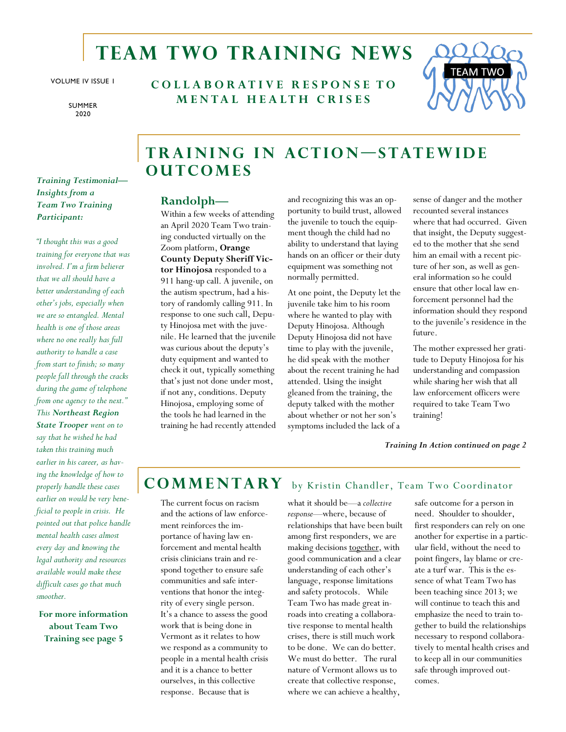# **Team Two Training news**

VOLUME IV ISSUE 1

SUMMER 2020

**C O L L A B O R A T I V E R E S P O N S E T O M E N T A L H E A L T H C R I S E S**



### *Training Testimonial— Insights from a Team Two Training Participant:*

*"I thought this was a good training for everyone that was involved. I'm a firm believer that we all should have a better understanding of each other's jobs, especially when we are so entangled. Mental health is one of those areas where no one really has full authority to handle a case from start to finish; so many people fall through the cracks during the game of telephone from one agency to the next." This Northeast Region State Trooper went on to say that he wished he had taken this training much earlier in his career, as having the knowledge of how to properly handle these cases earlier on would be very beneficial to people in crisis. He pointed out that police handle mental health cases almost every day and knowing the legal authority and resources available would make these difficult cases go that much smoother.*

**For more information about Team Two Training see page 5**

## **TRAINING IN ACTION-STATEWIDE O u t c om e s**

### **Randolph—**

Within a few weeks of attending an April 2020 Team Two training conducted virtually on the Zoom platform, **Orange County Deputy Sheriff Victor Hinojosa** responded to a 911 hang-up call. A juvenile, on the autism spectrum, had a history of randomly calling 911. In response to one such call, Deputy Hinojosa met with the juvenile. He learned that the juvenile was curious about the deputy's duty equipment and wanted to check it out, typically something that's just not done under most, if not any, conditions. Deputy Hinojosa, employing some of the tools he had learned in the training he had recently attended

and recognizing this was an opportunity to build trust, allowed the juvenile to touch the equipment though the child had no ability to understand that laying hands on an officer or their duty equipment was something not normally permitted.

At one point, the Deputy let the juvenile take him to his room where he wanted to play with Deputy Hinojosa. Although Deputy Hinojosa did not have time to play with the juvenile, he did speak with the mother about the recent training he had attended. Using the insight gleaned from the training, the deputy talked with the mother about whether or not her son's symptoms included the lack of a

sense of danger and the mother recounted several instances where that had occurred. Given that insight, the Deputy suggested to the mother that she send him an email with a recent picture of her son, as well as general information so he could ensure that other local law enforcement personnel had the information should they respond to the juvenile's residence in the future.

The mother expressed her gratitude to Deputy Hinojosa for his understanding and compassion while sharing her wish that all law enforcement officers were required to take Team Two training!

*Training In Action continued on page 2*

## COMMENTARY by Kristin Chandler, Team Two Coordinator

The current focus on racism and the actions of law enforcement reinforces the importance of having law enforcement and mental health crisis clinicians train and respond together to ensure safe communities and safe interventions that honor the integrity of every single person. It's a chance to assess the good work that is being done in Vermont as it relates to how we respond as a community to people in a mental health crisis and it is a chance to better ourselves, in this collective response. Because that is

what it should be—a *collective response—*where, because of relationships that have been built among first responders, we are making decisions together, with good communication and a clear understanding of each other's language, response limitations and safety protocols. While Team Two has made great inroads into creating a collaborative response to mental health crises, there is still much work to be done. We can do better. We must do better. The rural nature of Vermont allows us to create that collective response, where we can achieve a healthy,

safe outcome for a person in need. Shoulder to shoulder, first responders can rely on one another for expertise in a particular field, without the need to point fingers, lay blame or create a turf war. This is the essence of what Team Two has been teaching since 2013; we will continue to teach this and emphasize the need to train together to build the relationships necessary to respond collaboratively to mental health crises and to keep all in our communities safe through improved outcomes.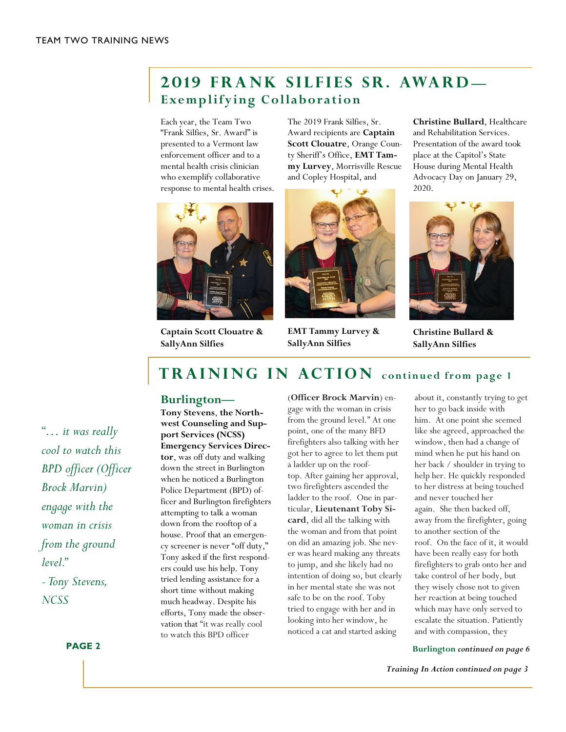## **2019 FRANK SILFIES SR. AWARD Exemplifying Collaboration**

Each year, the Team Two "Frank Silfies, Sr. Award" is presented to a Vermont law enforcement officer and to a mental health crisis clinician who exemplify collaborative response to mental health crises.



**Captain Scott Clouatre & SallyAnn Silfies**

The 2019 Frank Silfies, Sr. Award recipients are **Captain Scott Clouatre**, Orange County Sheriff's Office, **EMT Tammy Lurvey**, Morrisville Rescue and Copley Hospital, and



**EMT Tammy Lurvey & SallyAnn Silfies**

**Christine Bullard**, Healthcare and Rehabilitation Services. Presentation of the award took place at the Capitol's State House during Mental Health Advocacy Day on January 29, 2020.



**Christine Bullard & SallyAnn Silfies**

# **TRAINING IN ACTION** continued from page 1

#### **Burlington—**

**Tony Stevens**, **the Northwest Counseling and Support Services (NCSS) Emergency Services Director**, was off duty and walking down the street in Burlington when he noticed a Burlington Police Department (BPD) officer and Burlington firefighters attempting to talk a woman down from the rooftop of a house. Proof that an emergency screener is never "off duty," Tony asked if the first responders could use his help. Tony tried lending assistance for a short time without making much headway. Despite his efforts, Tony made the observation that "it was really cool to watch this BPD officer

(**Officer Brock Marvin**) engage with the woman in crisis from the ground level." At one point, one of the many BFD firefighters also talking with her got her to agree to let them put a ladder up on the rooftop. After gaining her approval, two firefighters ascended the ladder to the roof. One in particular, **Lieutenant Toby Sicard**, did all the talking with the woman and from that point on did an amazing job. She never was heard making any threats to jump, and she likely had no intention of doing so, but clearly in her mental state she was not safe to be on the roof. Toby tried to engage with her and in looking into her window, he noticed a cat and started asking

about it, constantly trying to get her to go back inside with him. At one point she seemed like she agreed, approached the window, then had a change of mind when he put his hand on her back / shoulder in trying to help her. He quickly responded to her distress at being touched and never touched her again. She then backed off, away from the firefighter, going to another section of the roof. On the face of it, it would have been really easy for both firefighters to grab onto her and take control of her body, but they wisely chose not to given her reaction at being touched which may have only served to escalate the situation. Patiently and with compassion, they

**Burlington** *continued on page 6*

*Training In Action continued on page 3*

*"… it was really cool to watch this BPD officer (Officer Brock Marvin) engage with the woman in crisis from the ground*   $level$ " *-Tony Stevens, NCSS*

**PAGE 2**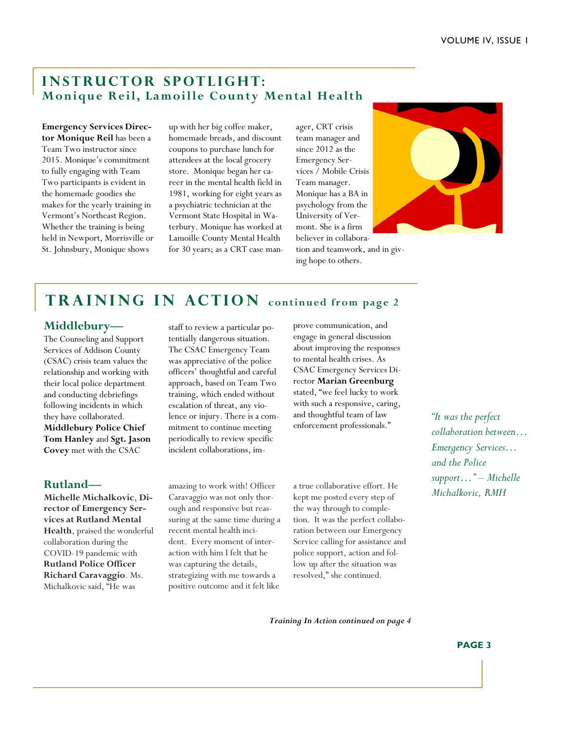### **INSTRUCTOR SPOTLIGHT: Monique Reil, Lamoille County Mental Health**

**Emergency Services Director Monique Reil** has been a Team Two instructor since 2015. Monique's commitment to fully engaging with Team Two participants is evident in the homemade goodies she makes for the yearly training in Vermont's Northeast Region. Whether the training is being held in Newport, Morrisville or St. Johnsbury, Monique shows

up with her big coffee maker, homemade breads, and discount coupons to purchase lunch for attendees at the local grocery store. Monique began her career in the mental health field in 1981, working for eight years as a psychiatric technician at the Vermont State Hospital in Waterbury. Monique has worked at Lamoille County Mental Health for 30 years; as a CRT case manager, CRT crisis team manager and since 2012 as the Emergency Services / Mobile Crisis Team manager. Monique has a BA in psychology from the University of Vermont. She is a firm believer in collaboration and teamwork, and in giving hope to others.



## **TRAINING IN ACTION** continued from page 2

### **Middlebury—**

The Counseling and Support Services of Addison County (CSAC) crisis team values the relationship and working with their local police department and conducting debriefings following incidents in which they have collaborated. **Middlebury Police Chief Tom Hanley** and **Sgt. Jason Covey** met with the CSAC

### **Rutland—**

**Michelle Michalkovic**, **Director of Emergency Services at Rutland Mental Health**, praised the wonderful collaboration during the COVID-19 pandemic with **Rutland Police Officer Richard Caravaggio**. Ms. Michalkovic said, "He was

staff to review a particular potentially dangerous situation. The CSAC Emergency Team was appreciative of the police officers' thoughtful and careful approach, based on Team Two training, which ended without escalation of threat, any violence or injury. There is a commitment to continue meeting periodically to review specific incident collaborations, improve communication, and engage in general discussion about improving the responses to mental health crises. As CSAC Emergency Services Director **Marian Greenburg** stated, "we feel lucky to work with such a responsive, caring, and thoughtful team of law enforcement professionals."

amazing to work with! Officer Caravaggio was not only thorough and responsive but reassuring at the same time during a recent mental health incident. Every moment of interaction with him I felt that he was capturing the details, strategizing with me towards a positive outcome and it felt like

a true collaborative effort. He kept me posted every step of the way through to completion. It was the perfect collaboration between our Emergency Service calling for assistance and police support, action and follow up after the situation was resolved," she continued.

*"It was the perfect collaboration between… Emergency Services… and the Police support…" – Michelle Michalkovic, RMH*

*Training In Action continued on page 4*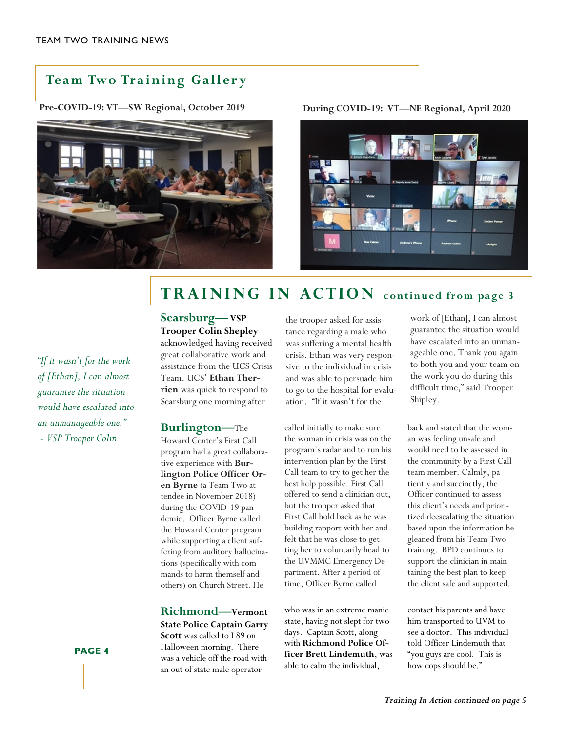## **Team Two Training Gallery**



**Pre-COVID-19: VT—SW Regional, October 2019 During COVID-19: VT—NE Regional, April 2020**



# **continued from page 3**

*"If it wasn't for the work of [Ethan], I can almost guarantee the situation would have escalated into an unmanageable one."*

*- VSP Trooper Colin* 

#### **PAGE 4**

**Searsburg—VSP Trooper Colin Shepley** acknowledged having received great collaborative work and assistance from the UCS Crisis Team. UCS' **Ethan Therrien** was quick to respond to Searsburg one morning after

#### **Burlington—**The

Howard Center's First Call program had a great collaborative experience with **Burlington Police Officer Oren Byrne** (a Team Two attendee in November 2018) during the COVID-19 pandemic. Officer Byrne called the Howard Center program while supporting a client suffering from auditory hallucinations (specifically with commands to harm themself and others) on Church Street. He

**Richmond—Vermont State Police Captain Garry Scott** was called to I 89 on Halloween morning. There was a vehicle off the road with an out of state male operator

the trooper asked for assistance regarding a male who was suffering a mental health crisis. Ethan was very responsive to the individual in crisis and was able to persuade him to go to the hospital for evaluation. "If it wasn't for the

called initially to make sure the woman in crisis was on the program's radar and to run his intervention plan by the First Call team to try to get her the best help possible. First Call offered to send a clinician out, but the trooper asked that First Call hold back as he was building rapport with her and felt that he was close to getting her to voluntarily head to the UVMMC Emergency Department. After a period of time, Officer Byrne called

who was in an extreme manic state, having not slept for two days. Captain Scott, along with **Richmond Police Officer Brett Lindemuth**, was able to calm the individual,

work of [Ethan], I can almost guarantee the situation would have escalated into an unmanageable one. Thank you again to both you and your team on the work you do during this difficult time," said Trooper Shipley.

back and stated that the woman was feeling unsafe and would need to be assessed in the community by a First Call team member. Calmly, patiently and succinctly, the Officer continued to assess this client's needs and prioritized deescalating the situation based upon the information he gleaned from his Team Two training. BPD continues to support the clinician in maintaining the best plan to keep the client safe and supported.

contact his parents and have him transported to UVM to see a doctor. This individual told Officer Lindemuth that "you guys are cool. This is how cops should be."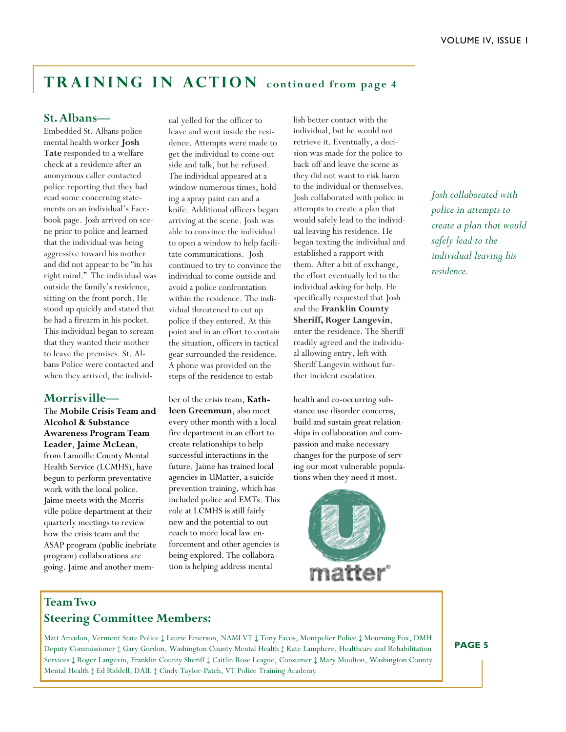# **TRAINING IN ACTION** continued from page 4

### **St. Albans—**

Embedded St. Albans police mental health worker **Josh Tate** responded to a welfare check at a residence after an anonymous caller contacted police reporting that they had read some concerning statements on an individual's Facebook page. Josh arrived on scene prior to police and learned that the individual was being aggressive toward his mother and did not appear to be "in his right mind." The individual was outside the family's residence, sitting on the front porch. He stood up quickly and stated that he had a firearm in his pocket. This individual began to scream that they wanted their mother to leave the premises. St. Albans Police were contacted and when they arrived, the individ-

#### **Morrisville—**

The **Mobile Crisis Team and Alcohol & Substance Awareness Program Team Leader**, **Jaime McLean**, from Lamoille County Mental Health Service (LCMHS), have begun to perform preventative work with the local police. Jaime meets with the Morrisville police department at their quarterly meetings to review how the crisis team and the ASAP program (public inebriate program) collaborations are going. Jaime and another mem-

ual yelled for the officer to leave and went inside the residence. Attempts were made to get the individual to come outside and talk, but he refused. The individual appeared at a window numerous times, holding a spray paint can and a knife. Additional officers began arriving at the scene. Josh was able to convince the individual to open a window to help facilitate communications. Josh continued to try to convince the individual to come outside and avoid a police confrontation within the residence. The individual threatened to cut up police if they entered. At this point and in an effort to contain the situation, officers in tactical gear surrounded the residence. A phone was provided on the steps of the residence to estab-

ber of the crisis team, **Kathleen Greenmun**, also meet every other month with a local fire department in an effort to create relationships to help successful interactions in the future. Jaime has trained local agencies in UMatter, a suicide prevention training, which has included police and EMTs. This role at LCMHS is still fairly new and the potential to outreach to more local law enforcement and other agencies is being explored. The collaboration is helping address mental

individual, but he would not retrieve it. Eventually, a decision was made for the police to back off and leave the scene as they did not want to risk harm to the individual or themselves. Josh collaborated with police in attempts to create a plan that would safely lead to the individual leaving his residence. He began texting the individual and established a rapport with them. After a bit of exchange, the effort eventually led to the individual asking for help. He specifically requested that Josh and the **Franklin County Sheriff, Roger Langevin**, enter the residence. The Sheriff readily agreed and the individual allowing entry, left with Sheriff Langevin without further incident escalation.

lish better contact with the

health and co-occurring substance use disorder concerns, build and sustain great relationships in collaboration and compassion and make necessary changes for the purpose of serving our most vulnerable populations when they need it most.



*Josh collaborated with police in attempts to create a plan that would safely lead to the individual leaving his residence.*

## **Team Two Steering Committee Members:**

Matt Amadon, Vermont State Police ‡ Laurie Emerson, NAMI VT ‡ Tony Facos, Montpelier Police ‡ Mourning Fox, DMH Deputy Commissioner ‡ Gary Gordon, Washington County Mental Health ‡ Kate Lamphere, Healthcare and Rehabilitation Services ‡ Roger Langevin, Franklin County Sheriff ‡ Caitlin Rose League, Consumer ‡ Mary Moulton, Washington County Mental Health ‡ Ed Riddell, DAIL ‡ Cindy Taylor-Patch, VT Police Training Academy

**PAGE 5**